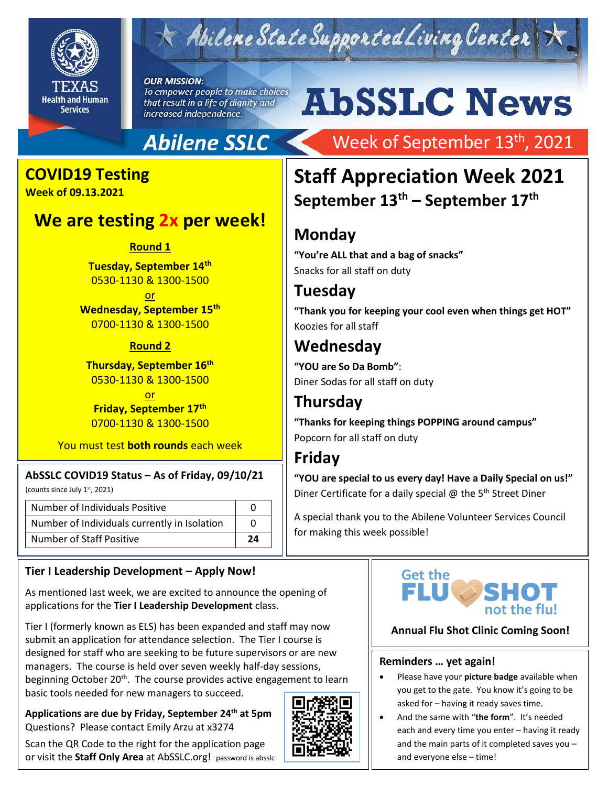

# Abilene State Supported Living Center

**OUR MISSION:** To empower people to make choices that result in a life of dignity and increased independence.

# **AbSSLC News**

## **Abilene SSLC**

# **COVID19 Testing**

**Week of 09.13.2021**

### **We are testing 2x per week!**

**Round 1**

**Tuesday, September 14th** 0530-1130 & 1300-1500

<u>or</u> **Wednesday, September 15th** 0700-1130 & 1300-1500

#### **Round 2**

**Thursday, September 16th** 0530-1130 & 1300-1500

<u>or</u> **Friday, September 17th** 0700-1130 & 1300-1500

You must test **both rounds** each week

#### **AbSSLC COVID19 Status – As of Friday, 09/10/21**

(counts since July 1st, 2021)

| Number of Individuals Positive               |    |
|----------------------------------------------|----|
| Number of Individuals currently in Isolation |    |
| Number of Staff Positive                     | 24 |

#### **Tier I Leadership Development – Apply Now!**

As mentioned last week, we are excited to announce the opening of applications for the **Tier I Leadership Development** class.

Tier I (formerly known as ELS) has been expanded and staff may now submit an application for attendance selection. The Tier I course is designed for staff who are seeking to be future supervisors or are new managers. The course is held over seven weekly half-day sessions, beginning October 20<sup>th</sup>. The course provides active engagement to learn basic tools needed for new managers to succeed.

**Applications are due by Friday, September 24th at 5pm** Questions? Please contact Emily Arzu at x3274

Scan the QR Code to the right for the application page or visit the **Staff Only Area** at AbSSLC.org! password is absslc



# Week of September 13<sup>th</sup>, 2021

## **Staff Appreciation Week 2021 September 13th – September 17th**

## **Monday**

**"You're ALL that and a bag of snacks"** Snacks for all staff on duty

### **Tuesday**

**"Thank you for keeping your cool even when things get HOT"** Koozies for all staff

## **Wednesday**

**"YOU are So Da Bomb"**: Diner Sodas for all staff on duty

## **Thursday**

**"Thanks for keeping things POPPING around campus"** Popcorn for all staff on duty

#### **Friday**

**"YOU are special to us every day! Have a Daily Special on us!"** Diner Certificate for a daily special  $@$  the 5<sup>th</sup> Street Diner

A special thank you to the Abilene Volunteer Services Council for making this week possible!



#### **Annual Flu Shot Clinic Coming Soon!**

#### **Reminders … yet again!**

- Please have your **picture badge** available when you get to the gate. You know it's going to be asked for – having it ready saves time.
- And the same with "**the form**". It's needed each and every time you enter – having it ready and the main parts of it completed saves you – and everyone else – time!